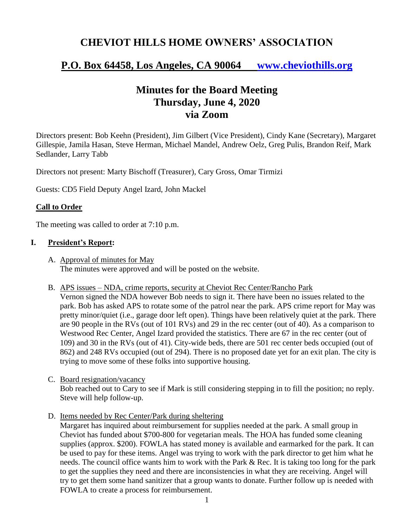# **CHEVIOT HILLS HOME OWNERS' ASSOCIATION**

# **P.O. Box 64458, Los Angeles, CA 90064 [www.cheviothills.org](http://www.cheviothills.org/)**

## **Minutes for the Board Meeting Thursday, June 4, 2020 via Zoom**

Directors present: Bob Keehn (President), Jim Gilbert (Vice President), Cindy Kane (Secretary), Margaret Gillespie, Jamila Hasan, Steve Herman, Michael Mandel, Andrew Oelz, Greg Pulis, Brandon Reif, Mark Sedlander, Larry Tabb

Directors not present: Marty Bischoff (Treasurer), Cary Gross, Omar Tirmizi

Guests: CD5 Field Deputy Angel Izard, John Mackel

### **Call to Order**

The meeting was called to order at 7:10 p.m.

#### **I. President's Report:**

- A. Approval of minutes for May The minutes were approved and will be posted on the website.
- B. APS issues NDA, crime reports, security at Cheviot Rec Center/Rancho Park

Vernon signed the NDA however Bob needs to sign it. There have been no issues related to the park. Bob has asked APS to rotate some of the patrol near the park. APS crime report for May was pretty minor/quiet (i.e., garage door left open). Things have been relatively quiet at the park. There are 90 people in the RVs (out of 101 RVs) and 29 in the rec center (out of 40). As a comparison to Westwood Rec Center, Angel Izard provided the statistics. There are 67 in the rec center (out of 109) and 30 in the RVs (out of 41). City-wide beds, there are 501 rec center beds occupied (out of 862) and 248 RVs occupied (out of 294). There is no proposed date yet for an exit plan. The city is trying to move some of these folks into supportive housing.

- C. Board resignation/vacancy Bob reached out to Cary to see if Mark is still considering stepping in to fill the position; no reply. Steve will help follow-up.
- D. Items needed by Rec Center/Park during sheltering

Margaret has inquired about reimbursement for supplies needed at the park. A small group in Cheviot has funded about \$700-800 for vegetarian meals. The HOA has funded some cleaning supplies (approx. \$200). FOWLA has stated money is available and earmarked for the park. It can be used to pay for these items. Angel was trying to work with the park director to get him what he needs. The council office wants him to work with the Park & Rec. It is taking too long for the park to get the supplies they need and there are inconsistencies in what they are receiving. Angel will try to get them some hand sanitizer that a group wants to donate. Further follow up is needed with FOWLA to create a process for reimbursement.